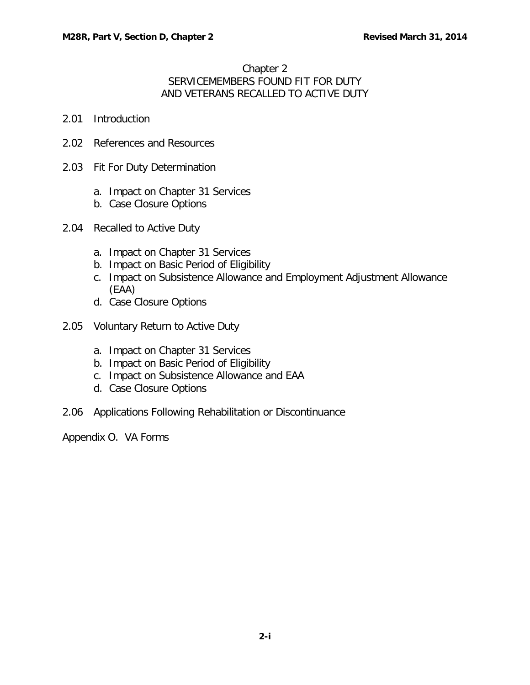## Chapter 2 SERVICEMEMBERS FOUND FIT FOR DUTY AND VETERANS RECALLED TO ACTIVE DUTY

- 2.01 [Introduction](#page-1-0)
- 2.02 [References and Resources](#page-1-1)
- 2.03 [Fit For Duty Determination](#page-1-2)
	- a. [Impact on Chapter 31 Services](#page-1-3)
	- b. [Case Closure Options](#page-1-4)
- 2.04 [Recalled to Active Duty](#page-2-0)
	- a. [Impact on Chapter 31 Services](#page-2-1)
	- b. [Impact on Basic Period of Eligibility](#page-2-2)
	- c. [Impact on Subsistence Allowance and Employment Adjustment Allowance](#page-3-0)  [\(EAA\)](#page-3-0)
	- d. [Case Closure Options](#page-3-1)
- 2.05 [Voluntary Return to Active Duty](#page-4-0)
	- a. [Impact on Chapter 31 Services](#page-4-1)
	- b. [Impact on Basic Period of Eligibility](#page-4-2)
	- c. [Impact on Subsistence Allowance and EAA](#page-4-3)
	- d. Case [Closure Options](#page-4-4)
- 2.06 [Applications Following Rehabilitation or Discontinuance](#page-4-5)

Appendix O. VA Forms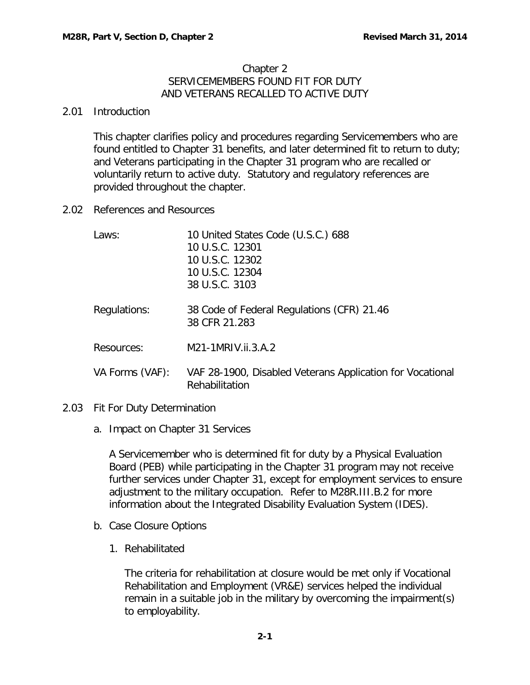### Chapter 2 SERVICEMEMBERS FOUND FIT FOR DUTY AND VETERANS RECALLED TO ACTIVE DUTY

### <span id="page-1-0"></span>2.01 Introduction

This chapter clarifies policy and procedures regarding Servicemembers who are found entitled to Chapter 31 benefits, and later determined fit to return to duty; and Veterans participating in the Chapter 31 program who are recalled or voluntarily return to active duty. Statutory and regulatory references are provided throughout the chapter.

<span id="page-1-1"></span>2.02 References and Resources

| Laws:           | 10 United States Code (U.S.C.) 688<br>10 U.S.C. 12301<br>10 U.S.C. 12302<br>10 U.S.C. 12304<br>38 U.S.C. 3103 |
|-----------------|---------------------------------------------------------------------------------------------------------------|
| Regulations:    | 38 Code of Federal Regulations (CFR) 21.46<br>38 CFR 21.283                                                   |
| Resources:      | M21-1MRIV.ii.3.A.2                                                                                            |
| VA Forms (VAF): | VAF 28-1900, Disabled Veterans Application for Vocational<br>Rehabilitation                                   |

- <span id="page-1-3"></span><span id="page-1-2"></span>2.03 Fit For Duty Determination
	- a. Impact on Chapter 31 Services

A Servicemember who is determined fit for duty by a Physical Evaluation Board (PEB) while participating in the Chapter 31 program may not receive further services under Chapter 31, except for employment services to ensure adjustment to the military occupation. Refer to M28R.III.B.2 for more information about the Integrated Disability Evaluation System (IDES).

- <span id="page-1-4"></span>b. Case Closure Options
	- 1. Rehabilitated

The criteria for rehabilitation at closure would be met only if Vocational Rehabilitation and Employment (VR&E) services helped the individual remain in a suitable job in the military by overcoming the impairment(s) to employability.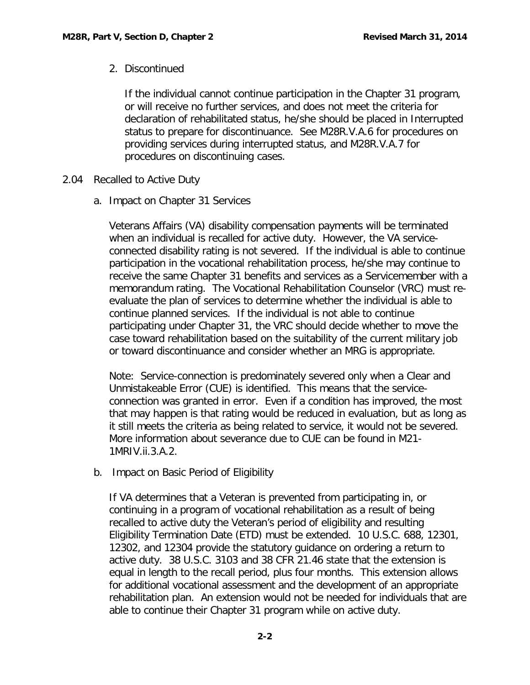# 2. Discontinued

If the individual cannot continue participation in the Chapter 31 program, or will receive no further services, and does not meet the criteria for declaration of rehabilitated status, he/she should be placed in Interrupted status to prepare for discontinuance. See M28R.V.A.6 for procedures on providing services during interrupted status, and M28R.V.A.7 for procedures on discontinuing cases.

- <span id="page-2-1"></span><span id="page-2-0"></span>2.04 Recalled to Active Duty
	- a. Impact on Chapter 31 Services

Veterans Affairs (VA) disability compensation payments will be terminated when an individual is recalled for active duty. However, the VA serviceconnected disability rating is not severed. If the individual is able to continue participation in the vocational rehabilitation process, he/she may continue to receive the same Chapter 31 benefits and services as a Servicemember with a memorandum rating. The Vocational Rehabilitation Counselor (VRC) must reevaluate the plan of services to determine whether the individual is able to continue planned services. If the individual is not able to continue participating under Chapter 31, the VRC should decide whether to move the case toward rehabilitation based on the suitability of the current military job or toward discontinuance and consider whether an MRG is appropriate.

Note: Service-connection is predominately severed only when a Clear and Unmistakeable Error (CUE) is identified. This means that the serviceconnection was granted in error. Even if a condition has improved, the most that may happen is that rating would be reduced in evaluation, but as long as it still meets the criteria as being related to service, it would not be severed. More information about severance due to CUE can be found in M21- 1MRIV.ii.3.A.2.

<span id="page-2-2"></span>b. Impact on Basic Period of Eligibility

If VA determines that a Veteran is prevented from participating in, or continuing in a program of vocational rehabilitation as a result of being recalled to active duty the Veteran's period of eligibility and resulting Eligibility Termination Date (ETD) must be extended. 10 U.S.C. 688, 12301, 12302, and 12304 provide the statutory guidance on ordering a return to active duty. 38 U.S.C. 3103 and 38 CFR 21.46 state that the extension is equal in length to the recall period, plus four months. This extension allows for additional vocational assessment and the development of an appropriate rehabilitation plan. An extension would not be needed for individuals that are able to continue their Chapter 31 program while on active duty.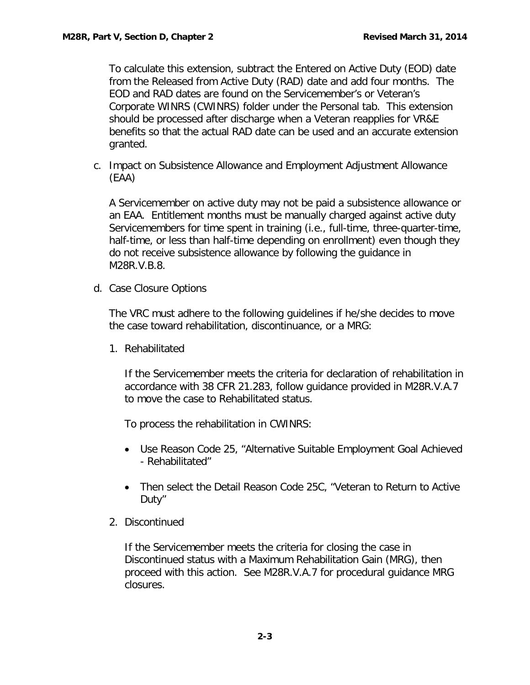To calculate this extension, subtract the Entered on Active Duty (EOD) date from the Released from Active Duty (RAD) date and add four months. The EOD and RAD dates are found on the Servicemember's or Veteran's Corporate WINRS (CWINRS) folder under the Personal tab. This extension should be processed after discharge when a Veteran reapplies for VR&E benefits so that the actual RAD date can be used and an accurate extension granted.

<span id="page-3-0"></span>c. Impact on Subsistence Allowance and Employment Adjustment Allowance (EAA)

A Servicemember on active duty may not be paid a subsistence allowance or an EAA. Entitlement months must be manually charged against active duty Servicemembers for time spent in training (i.e., full-time, three-quarter-time, half-time, or less than half-time depending on enrollment) even though they do not receive subsistence allowance by following the guidance in M28R.V.B.8.

<span id="page-3-1"></span>d. Case Closure Options

The VRC must adhere to the following guidelines if he/she decides to move the case toward rehabilitation, discontinuance, or a MRG:

1. Rehabilitated

If the Servicemember meets the criteria for declaration of rehabilitation in accordance with 38 CFR 21.283, follow guidance provided in M28R.V.A.7 to move the case to Rehabilitated status.

To process the rehabilitation in CWINRS:

- Use Reason Code 25, "Alternative Suitable Employment Goal Achieved - Rehabilitated"
- Then select the Detail Reason Code 25C, "Veteran to Return to Active Duty"
- 2. Discontinued

If the Servicemember meets the criteria for closing the case in Discontinued status with a Maximum Rehabilitation Gain (MRG), then proceed with this action. See M28R.V.A.7 for procedural guidance MRG closures.